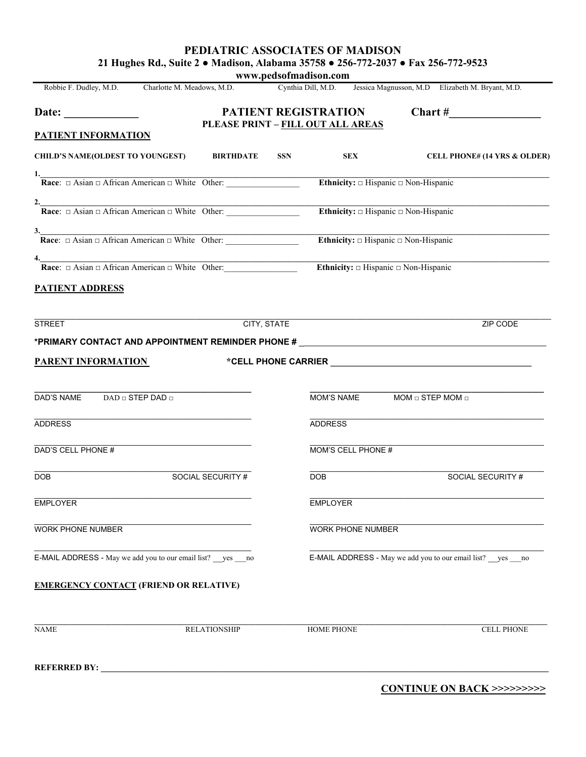**PEDIATRIC ASSOCIATES OF MADISON 21 Hughes Rd., Suite 2 ● Madison, Alabama 35758 ● 256-772-2037 ● Fax 256-772-9523**

**www.pedsofmadison.com** Robbie F. Dudley, M.D. Charlotte M. Meadows, M.D. Cynthia Dill, M.D. Jessica Magnusson, M.D Elizabeth M. Bryant, M.D. Date: **Date: PATIENT REGISTRATION Chart # PLEASE PRINT – FILL OUT ALL AREAS PATIENT INFORMATION CHILD'S NAME(OLDEST TO YOUNGEST) BIRTHDATE SSN SEX CELL PHONE# (14 YRS & OLDER) 1.\_\_\_\_\_\_\_\_\_\_\_\_\_\_\_\_\_\_\_\_\_\_\_\_\_\_\_\_\_\_\_\_\_\_\_\_\_\_\_\_\_\_\_\_\_\_\_\_\_\_\_\_\_\_\_\_\_\_\_\_\_\_\_\_\_\_\_\_\_\_\_\_\_\_\_\_\_\_\_\_\_\_\_\_\_\_\_\_\_\_\_\_\_\_\_\_\_\_\_\_\_\_\_\_\_\_\_\_\_\_\_\_\_\_\_\_\_\_\_\_\_\_\_\_\_\_\_\_\_\_\_\_\_ Race:** □ Asian □ African American □ White Other: <br> **Ethnicity:** □ Hispanic □ Non-Hispanic **2.\_\_\_\_\_\_\_\_\_\_\_\_\_\_\_\_\_\_\_\_\_\_\_\_\_\_\_\_\_\_\_\_\_\_\_\_\_\_\_\_\_\_\_\_\_\_\_\_\_\_\_\_\_\_\_\_\_\_\_\_\_\_\_\_\_\_\_\_\_\_\_\_\_\_\_\_\_\_\_\_\_\_\_\_\_\_\_\_\_\_\_\_\_\_\_\_\_\_\_\_\_\_\_\_\_\_\_\_\_\_\_\_\_\_\_\_\_\_\_\_\_\_\_\_\_\_\_\_\_\_\_\_\_ Race**: □ Asian □ African American □ White Other: \_\_\_\_\_\_\_\_\_\_\_\_\_\_\_\_\_ **Ethnicity: □** Hispanic □ Non-Hispanic  $3. \rule{0.7cm}{0.1cm}$  **Race**: □ Asian □ African American □ White Other: \_\_\_\_\_\_\_\_\_\_\_\_\_\_\_\_\_ **Ethnicity: □** Hispanic □ Non-Hispanic **4.\_\_\_\_\_\_\_\_\_\_\_\_\_\_\_\_\_\_\_\_\_\_\_\_\_\_\_\_\_\_\_\_\_\_\_\_\_\_\_\_\_\_\_\_\_\_\_\_\_\_\_\_\_\_\_\_\_\_\_\_\_\_\_\_\_\_\_\_\_\_\_\_\_\_\_\_\_\_\_\_\_\_\_\_\_\_\_\_\_\_\_\_\_\_\_\_\_\_\_\_\_\_\_\_\_\_\_\_\_\_\_\_\_\_\_\_\_\_\_\_\_\_\_\_\_\_\_\_\_\_\_\_\_ Race**: □ Asian □ African American □ White Other:\_\_\_\_\_\_\_\_\_\_\_\_\_\_\_\_\_ **Ethnicity: □** Hispanic □ Non-Hispanic **PATIENT ADDRESS \_\_\_\_\_\_\_\_\_\_\_\_\_\_\_\_\_\_\_\_\_\_\_\_\_\_\_\_\_\_\_\_\_\_\_\_\_\_\_\_\_\_\_\_\_\_\_\_\_\_\_\_\_\_\_\_\_\_\_\_\_\_\_\_\_\_\_\_\_\_\_\_\_\_\_\_\_\_\_\_\_\_\_\_\_\_\_\_\_\_\_\_\_\_\_\_\_\_\_\_\_\_\_\_\_\_\_\_\_\_\_\_\_\_\_\_\_\_\_\_\_\_\_\_\_\_\_\_\_\_\_\_\_\_\_** STREET CITY, STATE ZIP CODE **\*PRIMARY CONTACT AND APPOINTMENT REMINDER PHONE #** \_\_\_\_\_\_\_\_\_\_\_\_\_\_\_\_\_\_\_\_\_\_\_\_\_\_\_\_\_\_\_\_\_\_\_\_\_\_\_\_\_\_\_\_\_\_\_\_\_\_\_\_\_\_\_\_\_\_ **PARENT INFORMATION \*CELL PHONE CARRIER \_\_\_\_\_\_\_\_\_\_\_\_\_\_\_\_\_\_\_\_\_\_\_\_\_\_\_\_\_\_\_\_\_\_\_\_\_\_\_\_\_\_ \_\_\_\_\_\_\_\_\_\_\_\_\_\_\_\_\_\_\_\_\_\_\_\_\_\_\_\_\_\_\_\_\_\_\_\_\_\_\_\_\_\_\_\_\_\_\_\_\_\_\_ \_\_\_\_\_\_\_\_\_\_\_\_\_\_\_\_\_\_\_\_\_\_\_\_\_\_\_\_\_\_\_\_\_\_\_\_\_\_\_\_\_\_\_\_\_\_\_\_\_\_\_\_\_\_\_** DAD'S NAME DAD □ STEP DAD □ \_\_\_\_\_\_\_\_\_\_\_\_\_\_\_\_\_\_\_\_\_\_\_\_\_\_\_\_\_\_\_\_\_\_\_\_\_\_\_\_\_\_\_\_\_\_\_\_\_\_\_ \_\_\_\_\_\_\_\_\_\_\_\_\_\_\_\_\_\_\_\_\_\_\_\_\_\_\_\_\_\_\_\_\_\_\_\_\_\_\_\_\_\_\_\_\_\_\_\_\_\_\_\_\_\_\_ ADDRESS ADDRESS  $\_$  , and the state of the state of the state of the state of the state of the state of the state of the state of the state of the state of the state of the state of the state of the state of the state of the state of the DAD'S CELL PHONE # MOM'S CELL PHONE # \_\_\_\_\_\_\_\_\_\_\_\_\_\_\_\_\_\_\_\_\_\_\_\_\_\_\_\_\_\_\_\_\_\_\_\_\_\_\_\_\_\_\_\_\_\_\_\_\_\_\_ \_\_\_\_\_\_\_\_\_\_\_\_\_\_\_\_\_\_\_\_\_\_\_\_\_\_\_\_\_\_\_\_\_\_\_\_\_\_\_\_\_\_\_\_\_\_\_\_\_\_\_\_\_\_\_ DOB SOCIAL SECURITY # DOB SOCIAL SECURITY # \_\_\_\_\_\_\_\_\_\_\_\_\_\_\_\_\_\_\_\_\_\_\_\_\_\_\_\_\_\_\_\_\_\_\_\_\_\_\_\_\_\_\_\_\_\_\_\_\_\_\_ \_\_\_\_\_\_\_\_\_\_\_\_\_\_\_\_\_\_\_\_\_\_\_\_\_\_\_\_\_\_\_\_\_\_\_\_\_\_\_\_\_\_\_\_\_\_\_\_\_\_\_\_\_\_\_ EMPLOYER EMPLOYER  $\_$  , and the state of the state of the state of the state of the state of the state of the state of the state of the state of the state of the state of the state of the state of the state of the state of the state of the WORK PHONE NUMBER WELL ASSESSED A WORK PHONE NUMBER \_\_\_\_\_\_\_\_\_\_\_\_\_\_\_\_\_\_\_\_\_\_\_\_\_\_\_\_\_\_\_\_\_\_\_\_\_\_\_\_\_\_\_\_\_\_\_\_\_\_\_ \_\_\_\_\_\_\_\_\_\_\_\_\_\_\_\_\_\_\_\_\_\_\_\_\_\_\_\_\_\_\_\_\_\_\_\_\_\_\_\_\_\_\_\_\_\_\_\_\_\_\_\_\_\_\_ E-MAIL ADDRESS - May we add you to our email list? yes \_\_\_no <br>E-MAIL ADDRESS - May we add you to our email list? yes \_\_\_\_no <br>E-MAIL ADDRESS - May we add you to our email list? **EMERGENCY CONTACT (FRIEND OR RELATIVE) \_\_\_\_\_\_\_\_\_\_\_\_\_\_\_\_\_\_\_\_\_\_\_\_\_\_\_\_\_\_\_\_\_\_\_\_\_\_\_\_\_\_\_\_\_\_\_\_\_\_\_\_\_\_\_\_\_\_\_\_\_\_\_\_\_\_\_\_\_\_\_\_\_\_\_\_\_\_\_\_\_\_\_\_\_\_\_\_\_\_\_\_\_\_\_\_\_\_\_\_\_\_\_\_\_\_\_\_\_\_\_\_\_\_\_\_\_\_\_\_\_\_\_\_\_\_\_\_\_\_\_\_\_\_** NAME RELATIONSHIP HOME PHONE CELL PHONE **REFERRED BY: \_\_\_\_\_\_\_\_\_\_\_\_\_\_\_\_\_\_\_\_\_\_\_\_\_\_\_\_\_\_\_\_\_\_\_\_\_\_\_\_\_\_\_\_\_\_\_\_\_\_\_\_\_\_\_\_\_\_\_\_\_\_\_\_\_\_\_\_\_\_\_\_\_\_\_\_\_\_\_\_\_\_\_\_\_\_\_\_\_\_\_\_\_\_\_\_\_\_\_\_\_\_\_\_**

**CONTINUE ON BACK >>>>>>>>>**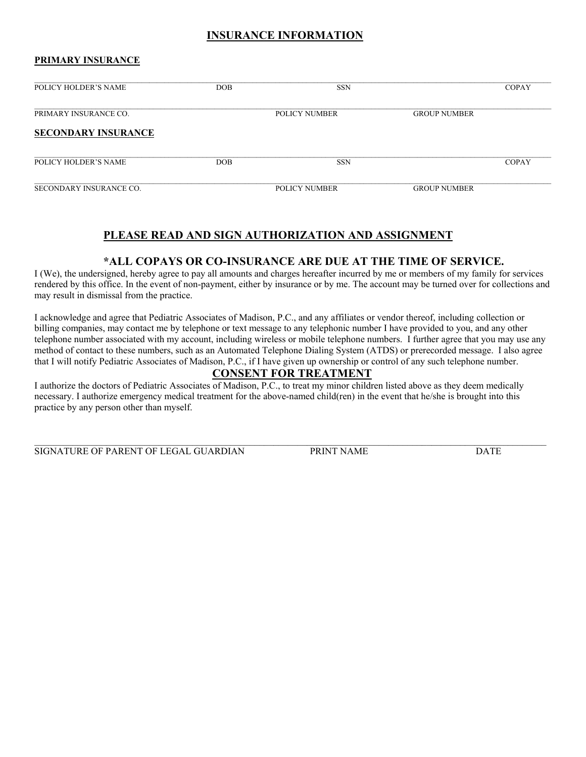## **INSURANCE INFORMATION**

#### **PRIMARY INSURANCE**

| <b>POLICY HOLDER'S NAME</b> | <b>DOB</b> | <b>SSN</b>           |                     | <b>COPAY</b> |
|-----------------------------|------------|----------------------|---------------------|--------------|
| PRIMARY INSURANCE CO.       |            | <b>POLICY NUMBER</b> | <b>GROUP NUMBER</b> |              |
| <b>SECONDARY INSURANCE</b>  |            |                      |                     |              |
| POLICY HOLDER'S NAME        | DOB.       | <b>SSN</b>           |                     | <b>COPAY</b> |
| SECONDARY INSURANCE CO.     |            | POLICY NUMBER        | <b>GROUP NUMBER</b> |              |

## **PLEASE READ AND SIGN AUTHORIZATION AND ASSIGNMENT**

### **\*ALL COPAYS OR CO-INSURANCE ARE DUE AT THE TIME OF SERVICE.**

I (We), the undersigned, hereby agree to pay all amounts and charges hereafter incurred by me or members of my family for services rendered by this office. In the event of non-payment, either by insurance or by me. The account may be turned over for collections and may result in dismissal from the practice.

I acknowledge and agree that Pediatric Associates of Madison, P.C., and any affiliates or vendor thereof, including collection or billing companies, may contact me by telephone or text message to any telephonic number I have provided to you, and any other telephone number associated with my account, including wireless or mobile telephone numbers. I further agree that you may use any method of contact to these numbers, such as an Automated Telephone Dialing System (ATDS) or prerecorded message. I also agree that I will notify Pediatric Associates of Madison, P.C., if I have given up ownership or control of any such telephone number.

## **CONSENT FOR TREATMENT**

I authorize the doctors of Pediatric Associates of Madison, P.C., to treat my minor children listed above as they deem medically necessary. I authorize emergency medical treatment for the above-named child(ren) in the event that he/she is brought into this practice by any person other than myself.

SIGNATURE OF PARENT OF LEGAL GUARDIAN PRINT NAME DATE

 $\mathcal{L}_\mathcal{L} = \mathcal{L}_\mathcal{L} = \mathcal{L}_\mathcal{L} = \mathcal{L}_\mathcal{L} = \mathcal{L}_\mathcal{L} = \mathcal{L}_\mathcal{L} = \mathcal{L}_\mathcal{L} = \mathcal{L}_\mathcal{L} = \mathcal{L}_\mathcal{L} = \mathcal{L}_\mathcal{L} = \mathcal{L}_\mathcal{L} = \mathcal{L}_\mathcal{L} = \mathcal{L}_\mathcal{L} = \mathcal{L}_\mathcal{L} = \mathcal{L}_\mathcal{L} = \mathcal{L}_\mathcal{L} = \mathcal{L}_\mathcal{L}$